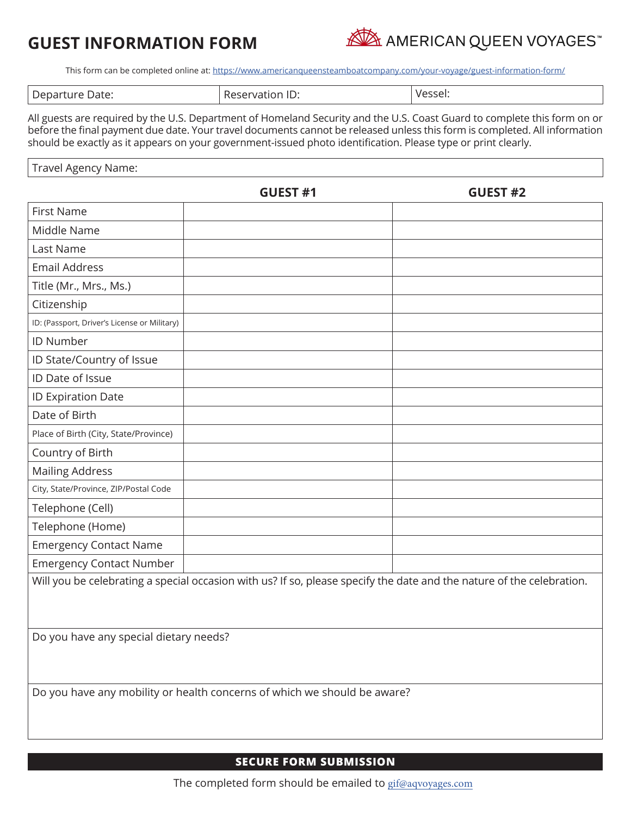# **GUEST INFORMATION FORM**



This form can be completed online at:<https://www.americanqueensteamboatcompany.com/your-voyage/guest-information-form/>

| -<br>Vessel:<br>Date:<br>. Depar'<br>.<br>$\sim$ $\sim$<br>້∟∧ເ<br>cure<br>-ser<br>. ) I I<br>$\mathcal{A}$<br>ັ |  |
|------------------------------------------------------------------------------------------------------------------|--|
|------------------------------------------------------------------------------------------------------------------|--|

All guests are required by the U.S. Department of Homeland Security and the U.S. Coast Guard to complete this form on or before the final payment due date. Your travel documents cannot be released unless this form is completed. All information should be exactly as it appears on your government-issued photo identification. Please type or print clearly.

Travel Agency Name:

|                                                                                                                       | <b>GUEST #1</b> | <b>GUEST #2</b> |  |  |
|-----------------------------------------------------------------------------------------------------------------------|-----------------|-----------------|--|--|
| <b>First Name</b>                                                                                                     |                 |                 |  |  |
| Middle Name                                                                                                           |                 |                 |  |  |
| Last Name                                                                                                             |                 |                 |  |  |
| <b>Email Address</b>                                                                                                  |                 |                 |  |  |
| Title (Mr., Mrs., Ms.)                                                                                                |                 |                 |  |  |
| Citizenship                                                                                                           |                 |                 |  |  |
| ID: (Passport, Driver's License or Military)                                                                          |                 |                 |  |  |
| <b>ID Number</b>                                                                                                      |                 |                 |  |  |
| ID State/Country of Issue                                                                                             |                 |                 |  |  |
| ID Date of Issue                                                                                                      |                 |                 |  |  |
| ID Expiration Date                                                                                                    |                 |                 |  |  |
| Date of Birth                                                                                                         |                 |                 |  |  |
| Place of Birth (City, State/Province)                                                                                 |                 |                 |  |  |
| Country of Birth                                                                                                      |                 |                 |  |  |
| <b>Mailing Address</b>                                                                                                |                 |                 |  |  |
| City, State/Province, ZIP/Postal Code                                                                                 |                 |                 |  |  |
| Telephone (Cell)                                                                                                      |                 |                 |  |  |
| Telephone (Home)                                                                                                      |                 |                 |  |  |
| <b>Emergency Contact Name</b>                                                                                         |                 |                 |  |  |
| <b>Emergency Contact Number</b>                                                                                       |                 |                 |  |  |
| Will you be celebrating a special occasion with us? If so, please specify the date and the nature of the celebration. |                 |                 |  |  |
| Do you have any special dietary needs?                                                                                |                 |                 |  |  |

Do you have any mobility or health concerns of which we should be aware?

#### **SECURE FORM SUBMISSION**

The completed form should be emailed to gif@aqvoyages.com